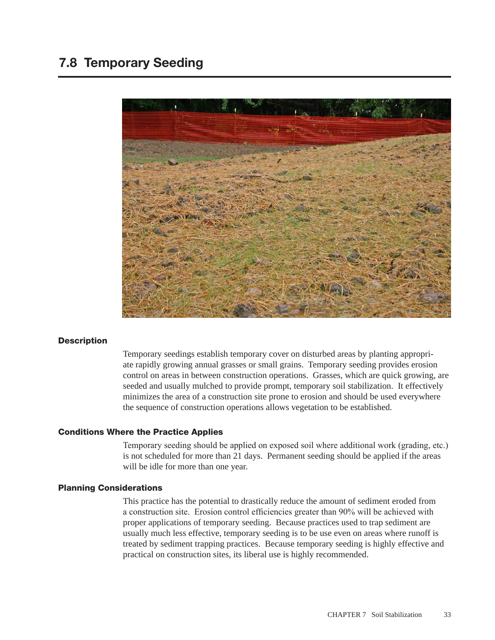# 7.8 Temporary Seeding



#### **Description**

Temporary seedings establish temporary cover on disturbed areas by planting appropriate rapidly growing annual grasses or small grains. Temporary seeding provides erosion control on areas in between construction operations. Grasses, which are quick growing, are seeded and usually mulched to provide prompt, temporary soil stabilization. It effectively minimizes the area of a construction site prone to erosion and should be used everywhere the sequence of construction operations allows vegetation to be established.

#### Conditions Where the Practice Applies

Temporary seeding should be applied on exposed soil where additional work (grading, etc.) is not scheduled for more than 21 days. Permanent seeding should be applied if the areas will be idle for more than one year.

#### Planning Considerations

This practice has the potential to drastically reduce the amount of sediment eroded from a construction site. Erosion control efficiencies greater than 90% will be achieved with proper applications of temporary seeding. Because practices used to trap sediment are usually much less effective, temporary seeding is to be use even on areas where runoff is treated by sediment trapping practices. Because temporary seeding is highly effective and practical on construction sites, its liberal use is highly recommended.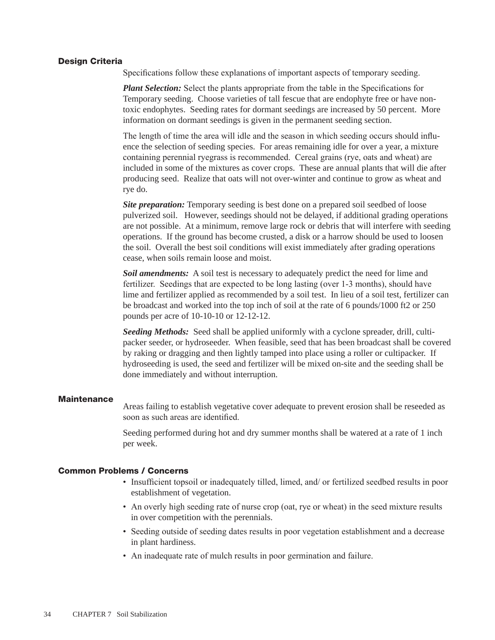#### Design Criteria

Specifications follow these explanations of important aspects of temporary seeding.

*Plant Selection:* Select the plants appropriate from the table in the Specifications for Temporary seeding. Choose varieties of tall fescue that are endophyte free or have nontoxic endophytes. Seeding rates for dormant seedings are increased by 50 percent. More information on dormant seedings is given in the permanent seeding section.

The length of time the area will idle and the season in which seeding occurs should influence the selection of seeding species. For areas remaining idle for over a year, a mixture containing perennial ryegrass is recommended. Cereal grains (rye, oats and wheat) are included in some of the mixtures as cover crops. These are annual plants that will die after producing seed. Realize that oats will not over-winter and continue to grow as wheat and rye do.

*Site preparation:* Temporary seeding is best done on a prepared soil seedbed of loose pulverized soil. However, seedings should not be delayed, if additional grading operations are not possible. At a minimum, remove large rock or debris that will interfere with seeding operations. If the ground has become crusted, a disk or a harrow should be used to loosen the soil. Overall the best soil conditions will exist immediately after grading operations cease, when soils remain loose and moist.

**Soil amendments:** A soil test is necessary to adequately predict the need for lime and fertilizer. Seedings that are expected to be long lasting (over 1-3 months), should have lime and fertilizer applied as recommended by a soil test. In lieu of a soil test, fertilizer can be broadcast and worked into the top inch of soil at the rate of 6 pounds/1000 ft2 or 250 pounds per acre of 10-10-10 or 12-12-12.

*Seeding Methods:* Seed shall be applied uniformly with a cyclone spreader, drill, cultipacker seeder, or hydroseeder. When feasible, seed that has been broadcast shall be covered by raking or dragging and then lightly tamped into place using a roller or cultipacker. If hydroseeding is used, the seed and fertilizer will be mixed on-site and the seeding shall be done immediately and without interruption.

#### **Maintenance**

Areas failing to establish vegetative cover adequate to prevent erosion shall be reseeded as soon as such areas are identified.

Seeding performed during hot and dry summer months shall be watered at a rate of 1 inch per week.

#### Common Problems / Concerns

- Insufficient topsoil or inadequately tilled, limed, and/ or fertilized seedbed results in poor establishment of vegetation.
- An overly high seeding rate of nurse crop (oat, rye or wheat) in the seed mixture results in over competition with the perennials.
- Seeding outside of seeding dates results in poor vegetation establishment and a decrease in plant hardiness.
- An inadequate rate of mulch results in poor germination and failure.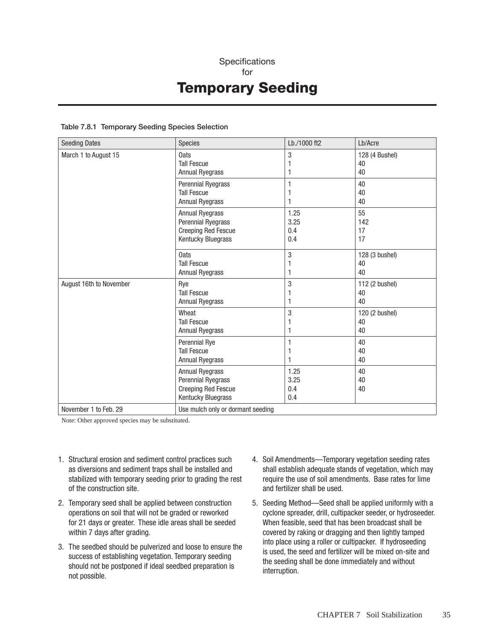## **Specifications** for Temporary Seeding

#### Table 7.8.1 Temporary Seeding Species Selection

| <b>Seeding Dates</b>    | <b>Species</b>                                                                                   | Lb./1000 ft2               | Lb/Acre                    |
|-------------------------|--------------------------------------------------------------------------------------------------|----------------------------|----------------------------|
| March 1 to August 15    | 0ats<br><b>Tall Fescue</b><br><b>Annual Ryegrass</b>                                             | 3<br>1                     | 128 (4 Bushel)<br>40<br>40 |
|                         | Perennial Ryegrass<br><b>Tall Fescue</b><br><b>Annual Ryegrass</b>                               | 1<br>1                     | 40<br>40<br>40             |
|                         | <b>Annual Ryegrass</b><br>Perennial Ryegrass<br><b>Creeping Red Fescue</b><br>Kentucky Bluegrass | 1.25<br>3.25<br>0.4<br>0.4 | 55<br>142<br>17<br>17      |
|                         | 0ats<br><b>Tall Fescue</b><br>Annual Ryegrass                                                    | $\mathbf{3}$<br>1<br>1     | 128 (3 bushel)<br>40<br>40 |
| August 16th to November | Rye<br><b>Tall Fescue</b><br><b>Annual Ryegrass</b>                                              | 3<br>1<br>1                | 112 (2 bushel)<br>40<br>40 |
|                         | Wheat<br><b>Tall Fescue</b><br><b>Annual Ryegrass</b>                                            | 3<br>1                     | 120 (2 bushel)<br>40<br>40 |
|                         | Perennial Rye<br><b>Tall Fescue</b><br><b>Annual Ryegrass</b>                                    | 1<br>1<br>1                | 40<br>40<br>40             |
|                         | <b>Annual Ryegrass</b><br>Perennial Ryegrass<br><b>Creeping Red Fescue</b><br>Kentucky Bluegrass | 1.25<br>3.25<br>0.4<br>0.4 | 40<br>40<br>40             |
| November 1 to Feb. 29   | Use mulch only or dormant seeding                                                                |                            |                            |

Note: Other approved species may be substituted.

- 1. Structural erosion and sediment control practices such as diversions and sediment traps shall be installed and stabilized with temporary seeding prior to grading the rest of the construction site.
- 2. Temporary seed shall be applied between construction operations on soil that will not be graded or reworked for 21 days or greater. These idle areas shall be seeded within 7 days after grading.
- 3. The seedbed should be pulverized and loose to ensure the success of establishing vegetation. Temporary seeding should not be postponed if ideal seedbed preparation is not possible.
- 4. Soil Amendments—Temporary vegetation seeding rates shall establish adequate stands of vegetation, which may require the use of soil amendments. Base rates for lime and fertilizer shall be used.
- 5. Seeding Method—Seed shall be applied uniformly with a cyclone spreader, drill, cultipacker seeder, or hydroseeder. When feasible, seed that has been broadcast shall be covered by raking or dragging and then lightly tamped into place using a roller or cultipacker. If hydroseeding is used, the seed and fertilizer will be mixed on-site and the seeding shall be done immediately and without interruption.